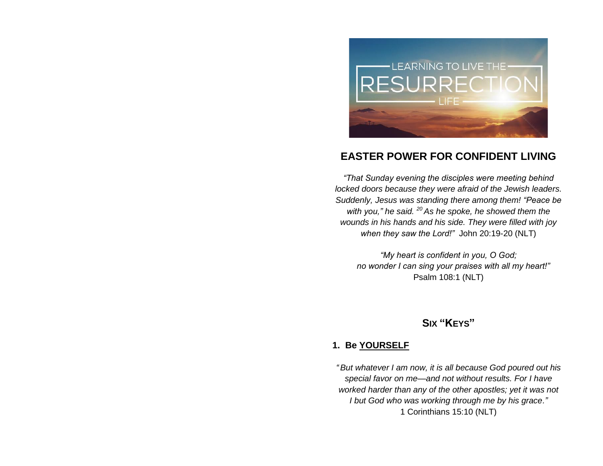

# **EASTER POWER FOR CONFIDENT LIVING**

*"That Sunday evening the disciples were meeting behind locked doors because they were afraid of the Jewish leaders. Suddenly, Jesus was standing there among them! "Peace be with you," he said. <sup>20</sup> As he spoke, he showed them the wounds in his hands and his side. They were filled with joy when they saw the Lord!"* John 20:19-20 (NLT)

*"My heart is confident in you, O God; no wonder I can sing your praises with all my heart!"*  Psalm 108:1 (NLT)

# **SIX "KEYS"**

#### **1. Be YOURSELF**

*" But whatever I am now, it is all because God poured out his special favor on me—and not without results. For I have worked harder than any of the other apostles; yet it was not I but God who was working through me by his grace."* 1 Corinthians 15:10 (NLT)